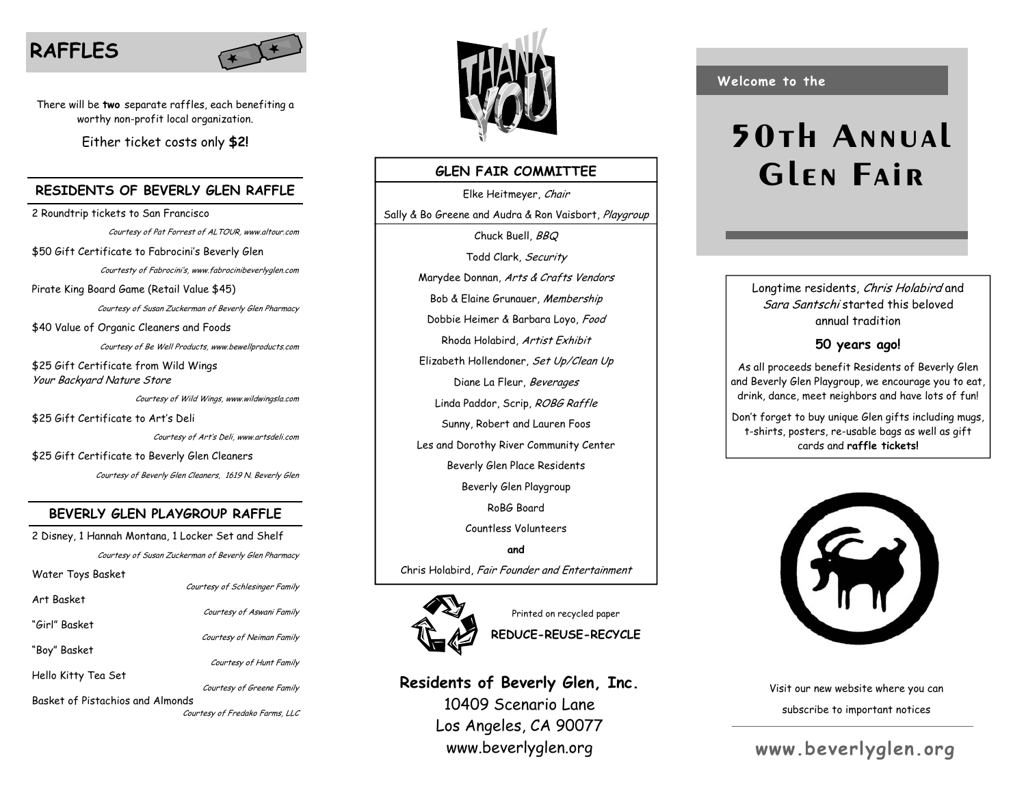# **RAFFLES**



There will be **two** separate raffles, each benefiting a worthy non-profit local organization.

Either ticket costs only **\$2!** 

#### **RESIDENTS OF BEVERLY GLEN RAFFLE**

2 Roundtrip tickets to San Francisco Courtesy of Pat Forrest of ALTOUR, www.altour.com \$50 Gift Certificate to Fabrocini's Beverly Glen Courtesty of Fabrocini's, www.fabrocinibeverlyglen.com Pirate King Board Game (Retail Value \$45) Courtesy of Susan Zuckerman of Beverly Glen Pharmacy \$40 Value of Organic Cleaners and Foods Courtesy of Be Well Products, www.bewellproducts.com \$25 Gift Certificate from Wild Wings Your Backyard Nature Store Courtesy of Wild Wings, www.wildwingsla.com \$25 Gift Certificate to Art's Deli Courtesy of Art's Deli, www.artsdeli.com

\$25 Gift Certificate to Beverly Glen Cleaners Courtesy of Beverly Glen Cleaners, 1619 N. Beverly Glen

### **BEVERLY GLEN PLAYGROUP RAFFLE**

2 Disney, 1 Hannah Montana, 1 Locker Set and Shelf Courtesy of Susan Zuckerman of Beverly Glen Pharmacy Water Toys Basket Courtesy of Schlesinger Family Art Basket Courtesy of Aswani Family "Girl" Basket Courtesy of Neiman Family "Boy" Basket Courtesy of Hunt Family Hello Kitty Tea Set Courtesy of Greene Family Basket of Pistachios and Almonds Courtesy of Fredako Farms, LLC



### **GLEN FAIR COMMITTEE**

Elke Heitmeyer, Chair Sally & Bo Greene and Audra & Ron Vaisbort, Playgroup Chuck Buell, BBQ Todd Clark, Security Marydee Donnan, Arts & Crafts Vendors Bob & Elaine Grunauer, Membership Dobbie Heimer & Barbara Loyo, Food Rhoda Holabird, Artist Exhibit Elizabeth Hollendoner, Set Up/Clean Up Diane La Fleur, Beverages Linda Paddor, Scrip, ROBG Raffle Sunny, Robert and Lauren Foos Les and Dorothy River Community Center Beverly Glen Place Residents Beverly Glen Playgroup RoBG Board Countless Volunteers **and** Chris Holabird, Fair Founder and Entertainment



Printed on recycled paper **REDUCE-REUSE-RECYCLE** 

**Residents of Beverly Glen, Inc.**  10409 Scenario Lane Los Angeles, CA 90077 www.beverlyglen.org

**Welcome to the** 

# **50th Annual Glen Fair**

Longtime residents, Chris Holabird and Sara Santschi started this beloved annual tradition

#### **50 years ago!**

As all proceeds benefit Residents of Beverly Glen and Beverly Glen Playgroup, we encourage you to eat, drink, dance, meet neighbors and have lots of fun!

Don't forget to buy unique Glen gifts including mugs, t-shirts, posters, re-usable bags as well as gift cards and **raffle tickets!**



Visit our new website where you can subscribe to important notices

# **www.beverlyglen.org**